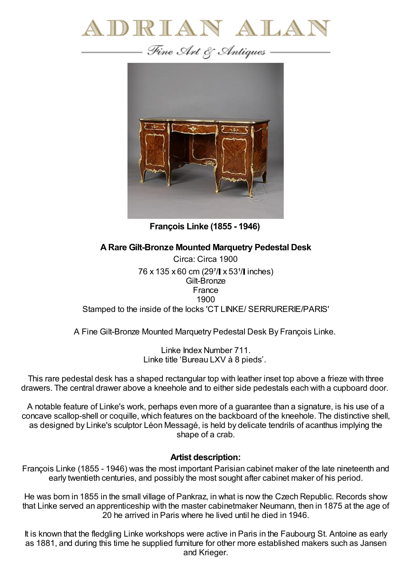



**François Linke (1855 - 1946)**

## **ARare Gilt-Bronze Mounted Marquetry Pedestal Desk**

Circa: Circa 1900 76 x 135 x 60 cm (297/ x 531/ linches) Gilt-Bronze France 1900 Stamped to the inside of the locks 'CT LINKE/ SERRURERIE/PARIS'

A Fine Gilt-Bronze Mounted Marquetry Pedestal Desk By François Linke.

Linke Index Number 711. Linke title 'Bureau LXV à 8 pieds'.

This rare pedestal desk has a shaped rectangular top with leather inset top above a frieze with three drawers. The central drawer above a kneehole and to either side pedestals each with a cupboard door.

A notable feature of Linke's work, perhaps even more of a guarantee than a signature, is his use of a concave scallop-shell or coquille, which features on the backboard of the kneehole. The distinctive shell, as designed by Linke's sculptor Léon Messagé, is held by delicate tendrils of acanthus implying the shape of a crab.

## **Artist description:**

François Linke (1855 - 1946) was the most important Parisian cabinet maker of the late nineteenth and early twentieth centuries, and possibly the most sought after cabinet maker of his period.

He was born in 1855 in the small village of Pankraz, in what is now the Czech Republic. Records show that Linke served an apprenticeship with the master cabinetmaker Neumann, then in 1875 at the age of 20 he arrived in Paris where he lived until he died in 1946.

It is known that the fledgling Linke workshops were active in Paris in the Faubourg St. Antoine as early as 1881, and during this time he supplied furniture for other more established makers such as Jansen and Krieger.